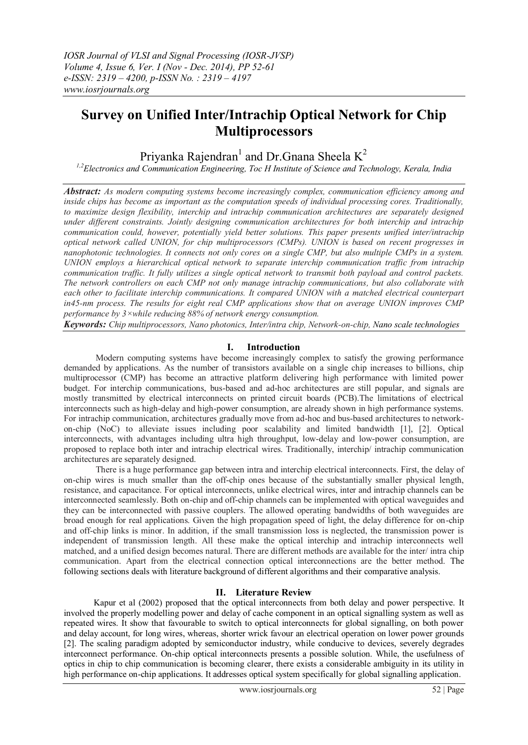# **Survey on Unified Inter/Intrachip Optical Network for Chip Multiprocessors**

## Priyanka Rajendran<sup>1</sup> and Dr.Gnana Sheela  $K^2$

*1,2Electronics and Communication Engineering, Toc H Institute of Science and Technology, Kerala, India*

*Abstract: As modern computing systems become increasingly complex, communication efficiency among and inside chips has become as important as the computation speeds of individual processing cores. Traditionally, to maximize design flexibility, interchip and intrachip communication architectures are separately designed under different constraints. Jointly designing communication architectures for both interchip and intrachip communication could, however, potentially yield better solutions. This paper presents unified inter/intrachip optical network called UNION, for chip multiprocessors (CMPs). UNION is based on recent progresses in nanophotonic technologies. It connects not only cores on a single CMP, but also multiple CMPs in a system. UNION employs a hierarchical optical network to separate interchip communication traffic from intrachip communication traffic. It fully utilizes a single optical network to transmit both payload and control packets. The network controllers on each CMP not only manage intrachip communications, but also collaborate with each other to facilitate interchip communications. It compared UNION with a matched electrical counterpart in45-nm process. The results for eight real CMP applications show that on average UNION improves CMP performance by 3×while reducing 88% of network energy consumption.*

*Keywords: Chip multiprocessors, Nano photonics, Inter/intra chip, Network-on-chip, Nano scale technologies*

## **I. Introduction**

Modern computing systems have become increasingly complex to satisfy the growing performance demanded by applications. As the number of transistors available on a single chip increases to billions, chip multiprocessor (CMP) has become an attractive platform delivering high performance with limited power budget. For interchip communications, bus-based and ad-hoc architectures are still popular, and signals are mostly transmitted by electrical interconnects on printed circuit boards (PCB).The limitations of electrical interconnects such as high-delay and high-power consumption, are already shown in high performance systems. For intrachip communication, architectures gradually move from ad-hoc and bus-based architectures to networkon-chip (NoC) to alleviate issues including poor scalability and limited bandwidth [1], [2]. Optical interconnects, with advantages including ultra high throughput, low-delay and low-power consumption, are proposed to replace both inter and intrachip electrical wires. Traditionally, interchip/ intrachip communication architectures are separately designed.

There is a huge performance gap between intra and interchip electrical interconnects. First, the delay of on-chip wires is much smaller than the off-chip ones because of the substantially smaller physical length, resistance, and capacitance. For optical interconnects, unlike electrical wires, inter and intrachip channels can be interconnected seamlessly. Both on-chip and off-chip channels can be implemented with optical waveguides and they can be interconnected with passive couplers. The allowed operating bandwidths of both waveguides are broad enough for real applications. Given the high propagation speed of light, the delay difference for on-chip and off-chip links is minor. In addition, if the small transmission loss is neglected, the transmission power is independent of transmission length. All these make the optical interchip and intrachip interconnects well matched, and a unified design becomes natural. There are different methods are available for the inter/ intra chip communication. Apart from the electrical connection optical interconnections are the better method. The following sections deals with literature background of different algorithms and their comparative analysis.

## **II. Literature Review**

Kapur et al (2002) proposed that the optical interconnects from both delay and power perspective. It involved the properly modelling power and delay of cache component in an optical signalling system as well as repeated wires. It show that favourable to switch to optical interconnects for global signalling, on both power and delay account, for long wires, whereas, shorter wrick favour an electrical operation on lower power grounds [2]. The scaling paradigm adopted by semiconductor industry, while conducive to devices, severely degrades interconnect performance. On-chip optical interconnects presents a possible solution. While, the usefulness of optics in chip to chip communication is becoming clearer, there exists a considerable ambiguity in its utility in high performance on-chip applications. It addresses optical system specifically for global signalling application.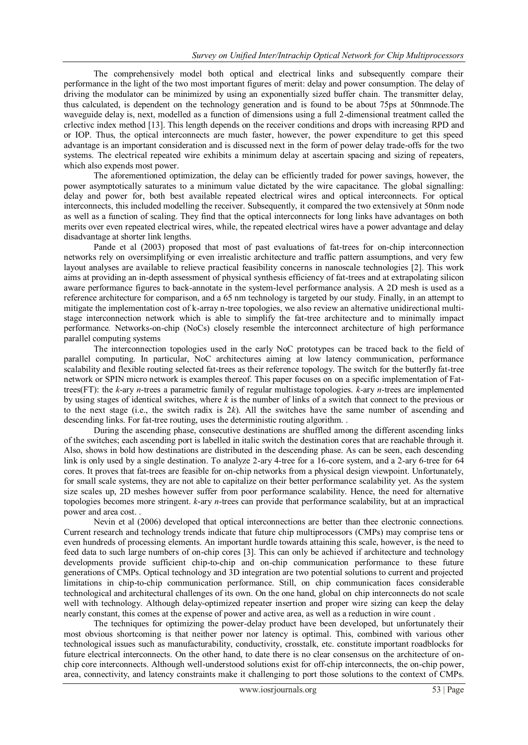The comprehensively model both optical and electrical links and subsequently compare their performance in the light of the two most important figures of merit: delay and power consumption. The delay of driving the modulator can be minimized by using an exponentially sized buffer chain. The transmitter delay, thus calculated, is dependent on the technology generation and is found to be about 75ps at 50nmnode.The waveguide delay is, next, modelled as a function of dimensions using a full 2-dimensional treatment called the crlectivc index method [13]. This length depends on the receiver conditions and drops with increasing RPD and or IOP. Thus, the optical interconnects are much faster, however, the power expenditure to get this speed advantage is an important consideration and is discussed next in the form of power delay trade-offs for the two systems. The electrical repeated wire exhibits a minimum delay at ascertain spacing and sizing of repeaters, which also expends most power.

The aforementioned optimization, the delay can be efficiently traded for power savings, however, the power asymptotically saturates to a minimum value dictated by the wire capacitance. The global signalling: delay and power for, both best available repeated electrical wires and optical interconnects. For optical interconnects, this included modelling the receiver. Subsequently, it compared the two extensively at 50nm node as well as a function of scaling. They find that the optical interconnects for long links have advantages on both merits over even repeated electrical wires, while, the repeated electrical wires have a power advantage and delay disadvantage at shorter link lengths.

Pande et al (2003) proposed that most of past evaluations of fat-trees for on-chip interconnection networks rely on oversimplifying or even irrealistic architecture and traffic pattern assumptions, and very few layout analyses are available to relieve practical feasibility concerns in nanoscale technologies [2]. This work aims at providing an in-depth assessment of physical synthesis efficiency of fat-trees and at extrapolating silicon aware performance figures to back-annotate in the system-level performance analysis. A 2D mesh is used as a reference architecture for comparison, and a 65 nm technology is targeted by our study. Finally, in an attempt to mitigate the implementation cost of k-array n-tree topologies, we also review an alternative unidirectional multistage interconnection network which is able to simplify the fat-tree architecture and to minimally impact performance*.* Networks-on-chip (NoCs) closely resemble the interconnect architecture of high performance parallel computing systems

The interconnection topologies used in the early NoC prototypes can be traced back to the field of parallel computing. In particular, NoC architectures aiming at low latency communication, performance scalability and flexible routing selected fat-trees as their reference topology. The switch for the butterfly fat-tree network or SPIN micro network is examples thereof. This paper focuses on on a specific implementation of Fattrees(FT): the *k*-ary *n*-trees a parametric family of regular multistage topologies. *k*-ary *n*-trees are implemented by using stages of identical switches, where *k* is the number of links of a switch that connect to the previous or to the next stage (i.e., the switch radix is  $2k$ ). All the switches have the same number of ascending and descending links. For fat-tree routing, uses the deterministic routing algorithm. .

During the ascending phase, consecutive destinations are shuffled among the different ascending links of the switches; each ascending port is labelled in italic switch the destination cores that are reachable through it. Also, shows in bold how destinations are distributed in the descending phase. As can be seen, each descending link is only used by a single destination. To analyze 2-ary 4-tree for a 16-core system, and a 2-ary 6-tree for 64 cores. It proves that fat-trees are feasible for on-chip networks from a physical design viewpoint. Unfortunately, for small scale systems, they are not able to capitalize on their better performance scalability yet. As the system size scales up, 2D meshes however suffer from poor performance scalability. Hence, the need for alternative topologies becomes more stringent. *k*-ary *n*-trees can provide that performance scalability, but at an impractical power and area cost. .

Nevin et al (2006) developed that optical interconnections are better than thee electronic connections. Current research and technology trends indicate that future chip multiprocessors (CMPs) may comprise tens or even hundreds of processing elements. An important hurdle towards attaining this scale, however, is the need to feed data to such large numbers of on-chip cores [3]. This can only be achieved if architecture and technology developments provide sufficient chip-to-chip and on-chip communication performance to these future generations of CMPs. Optical technology and 3D integration are two potential solutions to current and projected limitations in chip-to-chip communication performance. Still, on chip communication faces considerable technological and architectural challenges of its own. On the one hand, global on chip interconnects do not scale well with technology. Although delay-optimized repeater insertion and proper wire sizing can keep the delay nearly constant, this comes at the expense of power and active area, as well as a reduction in wire count .

The techniques for optimizing the power-delay product have been developed, but unfortunately their most obvious shortcoming is that neither power nor latency is optimal. This, combined with various other technological issues such as manufacturability, conductivity, crosstalk, etc. constitute important roadblocks for future electrical interconnects. On the other hand, to date there is no clear consensus on the architecture of onchip core interconnects. Although well-understood solutions exist for off-chip interconnects, the on-chip power, area, connectivity, and latency constraints make it challenging to port those solutions to the context of CMPs.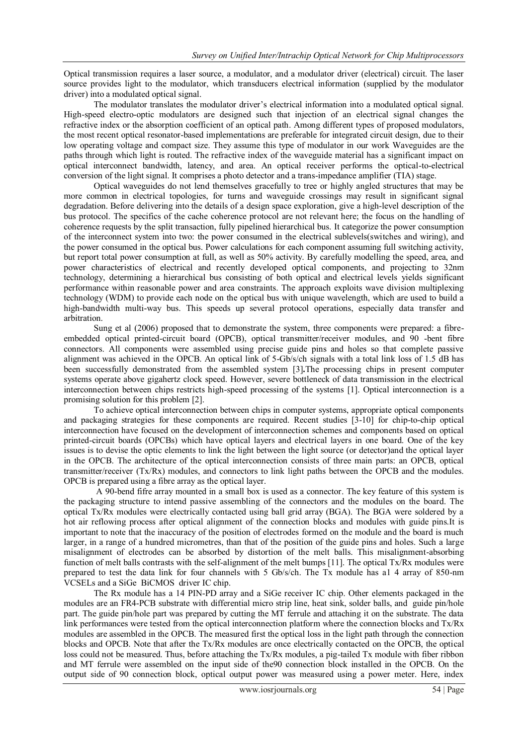Optical transmission requires a laser source, a modulator, and a modulator driver (electrical) circuit. The laser source provides light to the modulator, which transducers electrical information (supplied by the modulator driver) into a modulated optical signal.

The modulator translates the modulator driver's electrical information into a modulated optical signal. High-speed electro-optic modulators are designed such that injection of an electrical signal changes the refractive index or the absorption coefficient of an optical path. Among different types of proposed modulators, the most recent optical resonator-based implementations are preferable for integrated circuit design, due to their low operating voltage and compact size. They assume this type of modulator in our work Waveguides are the paths through which light is routed. The refractive index of the waveguide material has a significant impact on optical interconnect bandwidth, latency, and area. An optical receiver performs the optical-to-electrical conversion of the light signal. It comprises a photo detector and a trans-impedance amplifier (TIA) stage.

Optical waveguides do not lend themselves gracefully to tree or highly angled structures that may be more common in electrical topologies, for turns and waveguide crossings may result in significant signal degradation. Before delivering into the details of a design space exploration, give a high-level description of the bus protocol. The specifics of the cache coherence protocol are not relevant here; the focus on the handling of coherence requests by the split transaction, fully pipelined hierarchical bus. It categorize the power consumption of the interconnect system into two: the power consumed in the electrical sublevels(switches and wiring), and the power consumed in the optical bus. Power calculations for each component assuming full switching activity, but report total power consumption at full, as well as 50% activity. By carefully modelling the speed, area, and power characteristics of electrical and recently developed optical components, and projecting to 32nm technology, determining a hierarchical bus consisting of both optical and electrical levels yields significant performance within reasonable power and area constraints. The approach exploits wave division multiplexing technology (WDM) to provide each node on the optical bus with unique wavelength, which are used to build a high-bandwidth multi-way bus. This speeds up several protocol operations, especially data transfer and arbitration.

Sung et al (2006) proposed that to demonstrate the system, three components were prepared: a fibreembedded optical printed-circuit board (OPCB), optical transmitter/receiver modules, and 90 -bent fibre connectors. All components were assembled using precise guide pins and holes so that complete passive alignment was achieved in the OPCB. An optical link of 5-Gb/s/ch signals with a total link loss of 1.5 dB has been successfully demonstrated from the assembled system [3]**.**The processing chips in present computer systems operate above gigahertz clock speed. However, severe bottleneck of data transmission in the electrical interconnection between chips restricts high-speed processing of the systems [1]. Optical interconnection is a promising solution for this problem [2].

To achieve optical interconnection between chips in computer systems, appropriate optical components and packaging strategies for these components are required. Recent studies [3-10] for chip-to-chip optical interconnection have focused on the development of interconnection schemes and components based on optical printed-circuit boards (OPCBs) which have optical layers and electrical layers in one board. One of the key issues is to devise the optic elements to link the light between the light source (or detector)and the optical layer in the OPCB. The architecture of the optical interconnection consists of three main parts: an OPCB, optical transmitter/receiver (Tx/Rx) modules, and connectors to link light paths between the OPCB and the modules. OPCB is prepared using a fibre array as the optical layer.

A 90-bend fifre array mounted in a small box is used as a connector. The key feature of this system is the packaging structure to intend passive assembling of the connectors and the modules on the board. The optical Tx/Rx modules were electrically contacted using ball grid array (BGA). The BGA were soldered by a hot air reflowing process after optical alignment of the connection blocks and modules with guide pins.It is important to note that the inaccuracy of the position of electrodes formed on the module and the board is much larger, in a range of a hundred micrometres, than that of the position of the guide pins and holes. Such a large misalignment of electrodes can be absorbed by distortion of the melt balls. This misalignment-absorbing function of melt balls contrasts with the self-alignment of the melt bumps [11]. The optical Tx/Rx modules were prepared to test the data link for four channels with 5 Gb/s/ch. The Tx module has a1 4 array of 850-nm VCSELs and a SiGe BiCMOS driver IC chip.

The Rx module has a 14 PIN-PD array and a SiGe receiver IC chip. Other elements packaged in the modules are an FR4-PCB substrate with differential micro strip line, heat sink, solder balls, and guide pin/hole part. The guide pin/hole part was prepared by cutting the MT ferrule and attaching it on the substrate. The data link performances were tested from the optical interconnection platform where the connection blocks and Tx/Rx modules are assembled in the OPCB. The measured first the optical loss in the light path through the connection blocks and OPCB. Note that after the Tx/Rx modules are once electrically contacted on the OPCB, the optical loss could not be measured. Thus, before attaching the Tx/Rx modules, a pig-tailed Tx module with fiber ribbon and MT ferrule were assembled on the input side of the90 connection block installed in the OPCB. On the output side of 90 connection block, optical output power was measured using a power meter. Here, index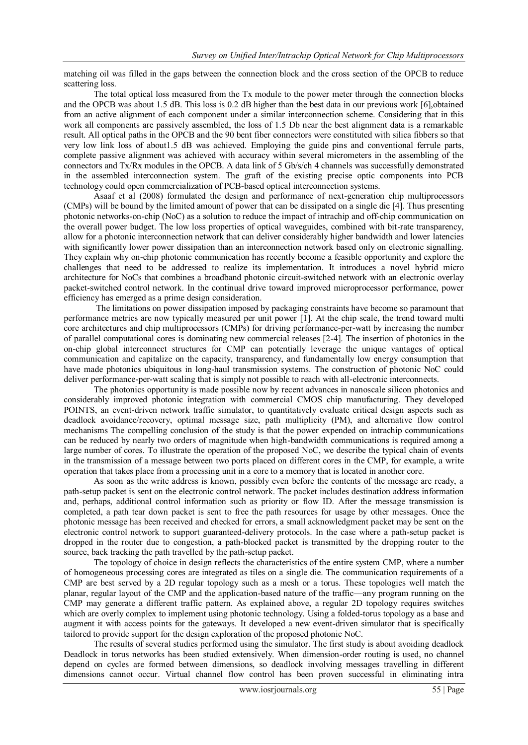matching oil was filled in the gaps between the connection block and the cross section of the OPCB to reduce scattering loss.

The total optical loss measured from the Tx module to the power meter through the connection blocks and the OPCB was about 1.5 dB. This loss is 0.2 dB higher than the best data in our previous work [6],obtained from an active alignment of each component under a similar interconnection scheme. Considering that in this work all components are passively assembled, the loss of 1.5 Db near the best alignment data is a remarkable result. All optical paths in the OPCB and the 90 bent fiber connectors were constituted with silica fibbers so that very low link loss of about1.5 dB was achieved. Employing the guide pins and conventional ferrule parts, complete passive alignment was achieved with accuracy within several micrometers in the assembling of the connectors and Tx/Rx modules in the OPCB. A data link of 5 Gb/s/ch 4 channels was successfully demonstrated in the assembled interconnection system. The graft of the existing precise optic components into PCB technology could open commercialization of PCB-based optical interconnection systems.

Asaaf et al (2008) formulated the design and performance of next-generation chip multiprocessors (CMPs) will be bound by the limited amount of power that can be dissipated on a single die [4]. Thus presenting photonic networks-on-chip (NoC) as a solution to reduce the impact of intrachip and off-chip communication on the overall power budget. The low loss properties of optical waveguides, combined with bit-rate transparency, allow for a photonic interconnection network that can deliver considerably higher bandwidth and lower latencies with significantly lower power dissipation than an interconnection network based only on electronic signalling. They explain why on-chip photonic communication has recently become a feasible opportunity and explore the challenges that need to be addressed to realize its implementation. It introduces a novel hybrid micro architecture for NoCs that combines a broadband photonic circuit-switched network with an electronic overlay packet-switched control network. In the continual drive toward improved microprocessor performance, power efficiency has emerged as a prime design consideration.

The limitations on power dissipation imposed by packaging constraints have become so paramount that performance metrics are now typically measured per unit power [1]. At the chip scale, the trend toward multi core architectures and chip multiprocessors (CMPs) for driving performance-per-watt by increasing the number of parallel computational cores is dominating new commercial releases [2-4]. The insertion of photonics in the on-chip global interconnect structures for CMP can potentially leverage the unique vantages of optical communication and capitalize on the capacity, transparency, and fundamentally low energy consumption that have made photonics ubiquitous in long-haul transmission systems. The construction of photonic NoC could deliver performance-per-watt scaling that is simply not possible to reach with all-electronic interconnects.

The photonics opportunity is made possible now by recent advances in nanoscale silicon photonics and considerably improved photonic integration with commercial CMOS chip manufacturing. They developed POINTS, an event-driven network traffic simulator, to quantitatively evaluate critical design aspects such as deadlock avoidance/recovery, optimal message size, path multiplicity (PM), and alternative flow control mechanisms The compelling conclusion of the study is that the power expended on intrachip communications can be reduced by nearly two orders of magnitude when high-bandwidth communications is required among a large number of cores. To illustrate the operation of the proposed NoC, we describe the typical chain of events in the transmission of a message between two ports placed on different cores in the CMP, for example, a write operation that takes place from a processing unit in a core to a memory that is located in another core.

As soon as the write address is known, possibly even before the contents of the message are ready, a path-setup packet is sent on the electronic control network. The packet includes destination address information and, perhaps, additional control information such as priority or flow ID. After the message transmission is completed, a path tear down packet is sent to free the path resources for usage by other messages. Once the photonic message has been received and checked for errors, a small acknowledgment packet may be sent on the electronic control network to support guaranteed-delivery protocols. In the case where a path-setup packet is dropped in the router due to congestion, a path-blocked packet is transmitted by the dropping router to the source, back tracking the path travelled by the path-setup packet.

The topology of choice in design reflects the characteristics of the entire system CMP, where a number of homogeneous processing cores are integrated as tiles on a single die. The communication requirements of a CMP are best served by a 2D regular topology such as a mesh or a torus. These topologies well match the planar, regular layout of the CMP and the application-based nature of the traffic—any program running on the CMP may generate a different traffic pattern. As explained above, a regular 2D topology requires switches which are overly complex to implement using photonic technology. Using a folded-torus topology as a base and augment it with access points for the gateways. It developed a new event-driven simulator that is specifically tailored to provide support for the design exploration of the proposed photonic NoC.

The results of several studies performed using the simulator. The first study is about avoiding deadlock Deadlock in torus networks has been studied extensively. When dimension-order routing is used, no channel depend on cycles are formed between dimensions, so deadlock involving messages travelling in different dimensions cannot occur. Virtual channel flow control has been proven successful in eliminating intra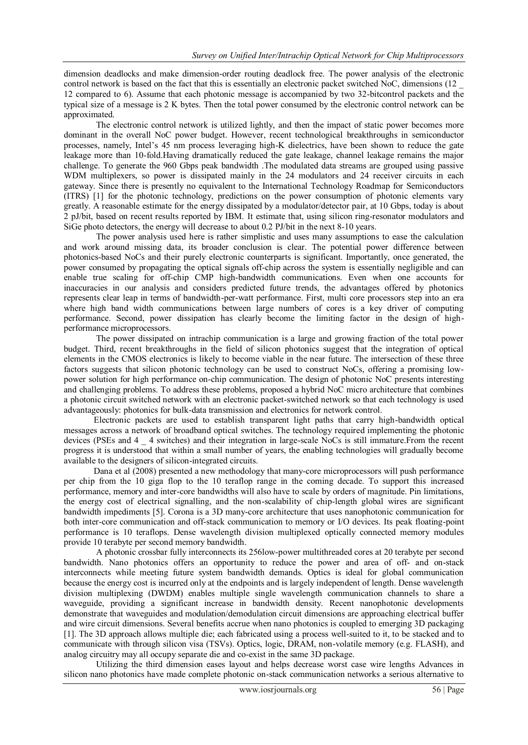dimension deadlocks and make dimension-order routing deadlock free. The power analysis of the electronic control network is based on the fact that this is essentially an electronic packet switched NoC, dimensions (12 \_ 12 compared to 6). Assume that each photonic message is accompanied by two 32-bitcontrol packets and the typical size of a message is 2 K bytes. Then the total power consumed by the electronic control network can be approximated.

The electronic control network is utilized lightly, and then the impact of static power becomes more dominant in the overall NoC power budget. However, recent technological breakthroughs in semiconductor processes, namely, Intel's 45 nm process leveraging high-K dielectrics, have been shown to reduce the gate leakage more than 10-fold.Having dramatically reduced the gate leakage, channel leakage remains the major challenge. To generate the 960 Gbps peak bandwidth .The modulated data streams are grouped using passive WDM multiplexers, so power is dissipated mainly in the 24 modulators and 24 receiver circuits in each gateway. Since there is presently no equivalent to the International Technology Roadmap for Semiconductors (ITRS) [1] for the photonic technology, predictions on the power consumption of photonic elements vary greatly. A reasonable estimate for the energy dissipated by a modulator/detector pair, at 10 Gbps, today is about 2 pJ/bit, based on recent results reported by IBM. It estimate that, using silicon ring-resonator modulators and SiGe photo detectors, the energy will decrease to about 0.2 PJ/bit in the next 8-10 years.

The power analysis used here is rather simplistic and uses many assumptions to ease the calculation and work around missing data, its broader conclusion is clear. The potential power difference between photonics-based NoCs and their purely electronic counterparts is significant. Importantly, once generated, the power consumed by propagating the optical signals off-chip across the system is essentially negligible and can enable true scaling for off-chip CMP high-bandwidth communications. Even when one accounts for inaccuracies in our analysis and considers predicted future trends, the advantages offered by photonics represents clear leap in terms of bandwidth-per-watt performance. First, multi core processors step into an era where high band width communications between large numbers of cores is a key driver of computing performance. Second, power dissipation has clearly become the limiting factor in the design of highperformance microprocessors.

The power dissipated on intrachip communication is a large and growing fraction of the total power budget. Third, recent breakthroughs in the field of silicon photonics suggest that the integration of optical elements in the CMOS electronics is likely to become viable in the near future. The intersection of these three factors suggests that silicon photonic technology can be used to construct NoCs, offering a promising lowpower solution for high performance on-chip communication. The design of photonic NoC presents interesting and challenging problems. To address these problems, proposed a hybrid NoC micro architecture that combines a photonic circuit switched network with an electronic packet-switched network so that each technology is used advantageously: photonics for bulk-data transmission and electronics for network control.

Electronic packets are used to establish transparent light paths that carry high-bandwidth optical messages across a network of broadband optical switches. The technology required implementing the photonic devices (PSEs and 4 \_ 4 switches) and their integration in large-scale NoCs is still immature.From the recent progress it is understood that within a small number of years, the enabling technologies will gradually become available to the designers of silicon-integrated circuits.

Dana et al (2008) presented a new methodology that many-core microprocessors will push performance per chip from the 10 giga flop to the 10 teraflop range in the coming decade. To support this increased performance, memory and inter-core bandwidths will also have to scale by orders of magnitude. Pin limitations, the energy cost of electrical signalling, and the non-scalability of chip-length global wires are significant bandwidth impediments [5]. Corona is a 3D many-core architecture that uses nanophotonic communication for both inter-core communication and off-stack communication to memory or I/O devices. Its peak floating-point performance is 10 teraflops. Dense wavelength division multiplexed optically connected memory modules provide 10 terabyte per second memory bandwidth.

A photonic crossbar fully interconnects its 256low-power multithreaded cores at 20 terabyte per second bandwidth. Nano photonics offers an opportunity to reduce the power and area of off- and on-stack interconnects while meeting future system bandwidth demands. Optics is ideal for global communication because the energy cost is incurred only at the endpoints and is largely independent of length. Dense wavelength division multiplexing (DWDM) enables multiple single wavelength communication channels to share a waveguide, providing a significant increase in bandwidth density. Recent nanophotonic developments demonstrate that waveguides and modulation/demodulation circuit dimensions are approaching electrical buffer and wire circuit dimensions. Several benefits accrue when nano photonics is coupled to emerging 3D packaging [1]. The 3D approach allows multiple die; each fabricated using a process well-suited to it, to be stacked and to communicate with through silicon visa (TSVs). Optics, logic, DRAM, non-volatile memory (e.g. FLASH), and analog circuitry may all occupy separate die and co-exist in the same 3D package.

Utilizing the third dimension eases layout and helps decrease worst case wire lengths Advances in silicon nano photonics have made complete photonic on-stack communication networks a serious alternative to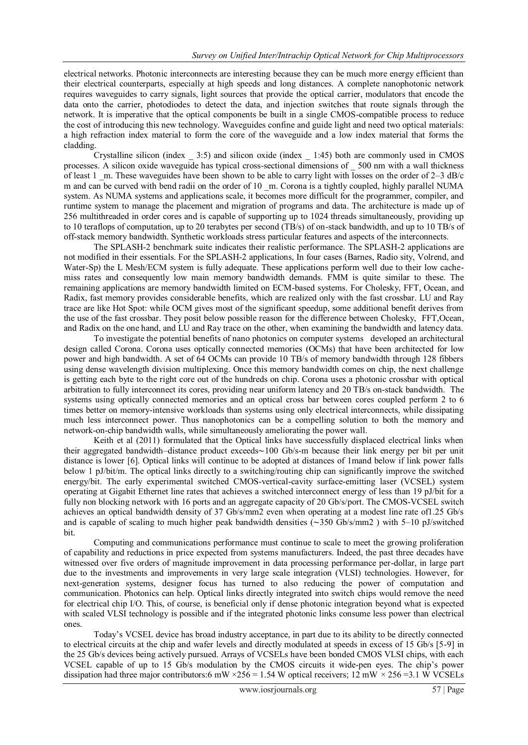electrical networks. Photonic interconnects are interesting because they can be much more energy efficient than their electrical counterparts, especially at high speeds and long distances. A complete nanophotonic network requires waveguides to carry signals, light sources that provide the optical carrier, modulators that encode the data onto the carrier, photodiodes to detect the data, and injection switches that route signals through the network. It is imperative that the optical components be built in a single CMOS-compatible process to reduce the cost of introducing this new technology. Waveguides confine and guide light and need two optical materials: a high refraction index material to form the core of the waveguide and a low index material that forms the cladding.

Crystalline silicon (index \_ 3:5) and silicon oxide (index \_ 1:45) both are commonly used in CMOS processes. A silicon oxide waveguide has typical cross-sectional dimensions of \_ 500 nm with a wall thickness of least 1  $\,$  m. These waveguides have been shown to be able to carry light with losses on the order of 2–3 dB/c m and can be curved with bend radii on the order of 10  $\,$ m. Corona is a tightly coupled, highly parallel NUMA system. As NUMA systems and applications scale, it becomes more difficult for the programmer, compiler, and runtime system to manage the placement and migration of programs and data. The architecture is made up of 256 multithreaded in order cores and is capable of supporting up to 1024 threads simultaneously, providing up to 10 teraflops of computation, up to 20 terabytes per second (TB/s) of on-stack bandwidth, and up to 10 TB/s of off-stack memory bandwidth. Synthetic workloads stress particular features and aspects of the interconnects.

The SPLASH-2 benchmark suite indicates their realistic performance. The SPLASH-2 applications are not modified in their essentials. For the SPLASH-2 applications, In four cases (Barnes, Radio sity, Volrend, and Water-Sp) the L Mesh/ECM system is fully adequate. These applications perform well due to their low cachemiss rates and consequently low main memory bandwidth demands. FMM is quite similar to these. The remaining applications are memory bandwidth limited on ECM-based systems. For Cholesky, FFT, Ocean, and Radix, fast memory provides considerable benefits, which are realized only with the fast crossbar. LU and Ray trace are like Hot Spot: while OCM gives most of the significant speedup, some additional benefit derives from the use of the fast crossbar. They posit below possible reason for the difference between Cholesky, FFT,Ocean, and Radix on the one hand, and LU and Ray trace on the other, when examining the bandwidth and latency data.

To investigate the potential benefits of nano photonics on computer systems developed an architectural design called Corona. Corona uses optically connected memories (OCMs) that have been architected for low power and high bandwidth. A set of 64 OCMs can provide 10 TB/s of memory bandwidth through 128 fibbers using dense wavelength division multiplexing. Once this memory bandwidth comes on chip, the next challenge is getting each byte to the right core out of the hundreds on chip. Corona uses a photonic crossbar with optical arbitration to fully interconnect its cores, providing near uniform latency and 20 TB/s on-stack bandwidth. The systems using optically connected memories and an optical cross bar between cores coupled perform 2 to 6 times better on memory-intensive workloads than systems using only electrical interconnects, while dissipating much less interconnect power. Thus nanophotonics can be a compelling solution to both the memory and network-on-chip bandwidth walls, while simultaneously ameliorating the power wall.

Keith et al (2011) formulated that the Optical links have successfully displaced electrical links when their aggregated bandwidth–distance product exceeds∼100 Gb/s-m because their link energy per bit per unit distance is lower [6]. Optical links will continue to be adopted at distances of 1mand below if link power falls below 1 pJ/bit/m. The optical links directly to a switching/routing chip can significantly improve the switched energy/bit. The early experimental switched CMOS-vertical-cavity surface-emitting laser (VCSEL) system operating at Gigabit Ethernet line rates that achieves a switched interconnect energy of less than 19 pJ/bit for a fully non blocking network with 16 ports and an aggregate capacity of 20 Gb/s/port. The CMOS-VCSEL switch achieves an optical bandwidth density of 37 Gb/s/mm2 even when operating at a modest line rate of1.25 Gb/s and is capable of scaling to much higher peak bandwidth densities (∼350 Gb/s/mm2 ) with 5–10 pJ/switched bit.

Computing and communications performance must continue to scale to meet the growing proliferation of capability and reductions in price expected from systems manufacturers. Indeed, the past three decades have witnessed over five orders of magnitude improvement in data processing performance per-dollar, in large part due to the investments and improvements in very large scale integration (VLSI) technologies. However, for next-generation systems, designer focus has turned to also reducing the power of computation and communication. Photonics can help. Optical links directly integrated into switch chips would remove the need for electrical chip I/O. This, of course, is beneficial only if dense photonic integration beyond what is expected with scaled VLSI technology is possible and if the integrated photonic links consume less power than electrical ones.

Today's VCSEL device has broad industry acceptance, in part due to its ability to be directly connected to electrical circuits at the chip and wafer levels and directly modulated at speeds in excess of 15 Gb/s [5-9] in the 25 Gb/s devices being actively pursued. Arrays of VCSELs have been bonded CMOS VLSI chips, with each VCSEL capable of up to 15 Gb/s modulation by the CMOS circuits it wide-pen eyes. The chip's power dissipation had three major contributors:6 mW ×256 = 1.54 W optical receivers; 12 mW *×* 256 =3.1 W VCSELs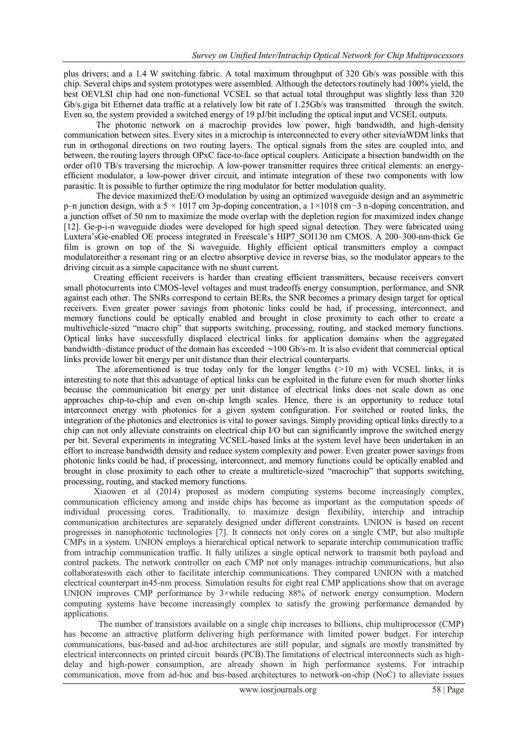plus drivers; and a 1.4 W switching fabric. A total maximum throughput of 320 Gb/s was possible with this chip. Several chips and system prototypes were assembled. Although the detectors routinely had 100% yield, the best OEVLSI chip had one non-functional VCSEL so that actual total throughput was slightly less than 320 Gb/s.giga bit Ethernet data traffic at a relatively low bit rate of 1.25Gb/s was transmitted through the switch. Even so, the system provided a switched energy of 19 pJ/bit including the optical input and VCSEL outputs.

The photonic network on a macrochip provides low power, high bandwidth, and high-density communication between sites. Every sites in a microchip is interconnected to every other siteviaWDM links that run in orthogonal directions on two routing layers. The optical signals from the sites are coupled into, and between, the routing layers through OPxC face-to-face optical couplers. Anticipate a bisection bandwidth on the order of10 TB/s traversing the microchip. A low-power transmitter requires three critical elements: an energyefficient modulator, a low-power driver circuit, and intimate integration of these two components with low parasitic. It is possible to further optimize the ring modulator for better modulation quality.

The device maximized theE/O modulation by using an optimized waveguide design and an asymmetric p–n junction design, with a 5 *×* 1017 cm 3p-doping concentration, a 1*×*1018 cm*−*3 n-doping concentration, and a junction offset of 50 nm to maximize the mode overlap with the depletion region for maximized index change [12]. Ge-p-i-n waveguide diodes were developed for high speed signal detection. They were fabricated using Luxtera'sGe-enabled OE process integrated in Freescale's HIP7\_SOI130 nm CMOS. A 200–300-nm-thick Ge film is grown on top of the Si waveguide. Highly efficient optical transmitters employ a compact modulatoreither a resonant ring or an electro absorptive device in reverse bias, so the modulator appears to the driving circuit as a simple capacitance with no shunt current.

Creating efficient receivers is harder than creating efficient transmitters, because receivers convert small photocurrents into CMOS-level voltages and must tradeoffs energy consumption, performance, and SNR against each other. The SNRs correspond to certain BERs, the SNR becomes a primary design target for optical receivers. Even greater power savings from photonic links could be had, if processing, interconnect, and memory functions could be optically enabled and brought in close proximity to each other to create a multivehicle-sized "macro chip" that supports switching, processing, routing, and stacked memory functions. Optical links have successfully displaced electrical links for application domains when the aggregated bandwidth–distance product of the domain has exceeded ∼100 Gb/s-m. It is also evident that commercial optical links provide lower bit energy per unit distance than their electrical counterparts.

The aforementioned is true today only for the longer lengths (*>*10 m) with VCSEL links, it is interesting to note that this advantage of optical links can be exploited in the future even for much shorter links because the communication bit energy per unit distance of electrical links does not scale down as one approaches chip-to-chip and even on-chip length scales. Hence, there is an opportunity to reduce total interconnect energy with photonics for a given system configuration. For switched or routed links, the integration of the photonics and electronics is vital to power savings. Simply providing optical links directly to a chip can not only alleviate constraints on electrical chip I/O but can significantly improve the switched energy per bit. Several experiments in integrating VCSEL-based links at the system level have been undertaken in an effort to increase bandwidth density and reduce system complexity and power. Even greater power savings from photonic links could be had, if processing, interconnect, and memory functions could be optically enabled and brought in close proximity to each other to create a multireticle-sized "macrochip" that supports switching, processing, routing, and stacked memory functions.

Xiaowen et al (2014) proposed as modern computing systems become increasingly complex, communication efficiency among and inside chips has become as important as the computation speeds of individual processing cores. Traditionally, to maximize design flexibility, interchip and intrachip communication architectures are separately designed under different constraints. UNION is based on recent progresses in nanophotonic technologies [7]. It connects not only cores on a single CMP, but also multiple CMPs in a system. UNION employs a hierarchical optical network to separate interchip communication traffic from intrachip communication traffic. It fully utilizes a single optical network to transmit both payload and control packets. The network controller on each CMP not only manages intrachip communications, but also collaborateswith each other to facilitate interchip communications. They compared UNION with a matched electrical counterpart in45-nm process. Simulation results for eight real CMP applications show that on average UNION improves CMP performance by 3×while reducing 88% of network energy consumption. Modern computing systems have become increasingly complex to satisfy the growing performance demanded by applications.

The number of transistors available on a single chip increases to billions, chip multiprocessor (CMP) has become an attractive platform delivering high performance with limited power budget. For interchip communications, bus-based and ad-hoc architectures are still popular, and signals are mostly transmitted by electrical interconnects on printed circuit boards (PCB).The limitations of electrical interconnects such as highdelay and high-power consumption, are already shown in high performance systems. For intrachip communication, move from ad-hoc and bus-based architectures to network-on-chip (NoC) to alleviate issues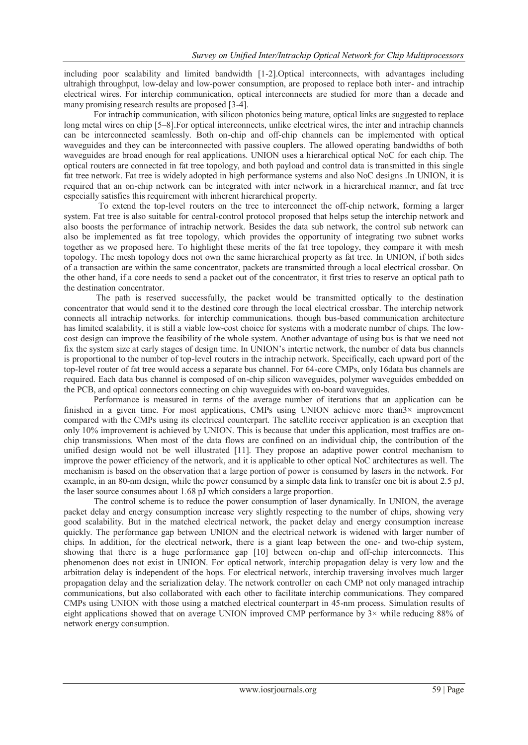including poor scalability and limited bandwidth [1-2].Optical interconnects, with advantages including ultrahigh throughput, low-delay and low-power consumption, are proposed to replace both inter- and intrachip electrical wires. For interchip communication, optical interconnects are studied for more than a decade and many promising research results are proposed [3-4].

For intrachip communication, with silicon photonics being mature, optical links are suggested to replace long metal wires on chip [5–8].For optical interconnects, unlike electrical wires, the inter and intrachip channels can be interconnected seamlessly. Both on-chip and off-chip channels can be implemented with optical waveguides and they can be interconnected with passive couplers. The allowed operating bandwidths of both waveguides are broad enough for real applications. UNION uses a hierarchical optical NoC for each chip. The optical routers are connected in fat tree topology, and both payload and control data is transmitted in this single fat tree network. Fat tree is widely adopted in high performance systems and also NoC designs .In UNION, it is required that an on-chip network can be integrated with inter network in a hierarchical manner, and fat tree especially satisfies this requirement with inherent hierarchical property.

To extend the top-level routers on the tree to interconnect the off-chip network, forming a larger system. Fat tree is also suitable for central-control protocol proposed that helps setup the interchip network and also boosts the performance of intrachip network. Besides the data sub network, the control sub network can also be implemented as fat tree topology, which provides the opportunity of integrating two subnet works together as we proposed here. To highlight these merits of the fat tree topology, they compare it with mesh topology. The mesh topology does not own the same hierarchical property as fat tree. In UNION, if both sides of a transaction are within the same concentrator, packets are transmitted through a local electrical crossbar. On the other hand, if a core needs to send a packet out of the concentrator, it first tries to reserve an optical path to the destination concentrator.

The path is reserved successfully, the packet would be transmitted optically to the destination concentrator that would send it to the destined core through the local electrical crossbar. The interchip network connects all intrachip networks. for interchip communications. though bus-based communication architecture has limited scalability, it is still a viable low-cost choice for systems with a moderate number of chips. The lowcost design can improve the feasibility of the whole system. Another advantage of using bus is that we need not fix the system size at early stages of design time. In UNION's intertie network, the number of data bus channels is proportional to the number of top-level routers in the intrachip network. Specifically, each upward port of the top-level router of fat tree would access a separate bus channel. For 64-core CMPs, only 16data bus channels are required. Each data bus channel is composed of on-chip silicon waveguides, polymer waveguides embedded on the PCB, and optical connectors connecting on chip waveguides with on-board waveguides.

Performance is measured in terms of the average number of iterations that an application can be finished in a given time. For most applications, CMPs using UNION achieve more than 3× improvement compared with the CMPs using its electrical counterpart. The satellite receiver application is an exception that only 10% improvement is achieved by UNION. This is because that under this application, most traffics are onchip transmissions. When most of the data flows are confined on an individual chip, the contribution of the unified design would not be well illustrated [11]. They propose an adaptive power control mechanism to improve the power efficiency of the network, and it is applicable to other optical NoC architectures as well. The mechanism is based on the observation that a large portion of power is consumed by lasers in the network. For example, in an 80-nm design, while the power consumed by a simple data link to transfer one bit is about 2*.*5 pJ, the laser source consumes about 1*.*68 pJ which considers a large proportion.

The control scheme is to reduce the power consumption of laser dynamically. In UNION, the average packet delay and energy consumption increase very slightly respecting to the number of chips, showing very good scalability. But in the matched electrical network, the packet delay and energy consumption increase quickly. The performance gap between UNION and the electrical network is widened with larger number of chips. In addition, for the electrical network, there is a giant leap between the one- and two-chip system, showing that there is a huge performance gap [10] between on-chip and off-chip interconnects. This phenomenon does not exist in UNION. For optical network, interchip propagation delay is very low and the arbitration delay is independent of the hops. For electrical network, interchip traversing involves much larger propagation delay and the serialization delay. The network controller on each CMP not only managed intrachip communications, but also collaborated with each other to facilitate interchip communications. They compared CMPs using UNION with those using a matched electrical counterpart in 45-nm process. Simulation results of eight applications showed that on average UNION improved CMP performance by 3× while reducing 88% of network energy consumption.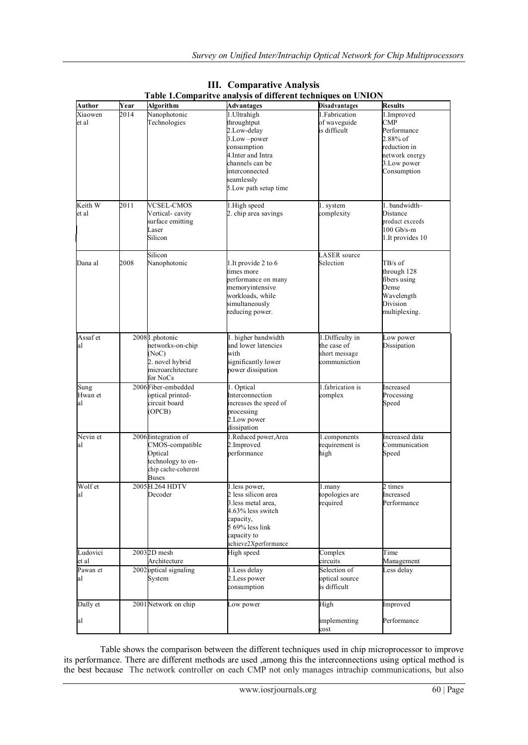| <b>Author</b>         | Year | Algorithm                                                                                                     | radic r.Comparityc anarysis or uniterent techniques on OrviOry<br>Advantages                                                                                                      | <b>Disadvantages</b>                                            | <b>Results</b>                                                                                                         |
|-----------------------|------|---------------------------------------------------------------------------------------------------------------|-----------------------------------------------------------------------------------------------------------------------------------------------------------------------------------|-----------------------------------------------------------------|------------------------------------------------------------------------------------------------------------------------|
| Xiaowen<br>et al      | 2014 | Nanophotonic<br>Technologies                                                                                  | 1. Ultrahigh<br>throughtput<br>2.Low-delay<br>$3.$ Low $-power$<br>consumption<br>4. Inter and Intra<br>channels can be<br>interconnected<br>seamlessly<br>5. Low path setup time | 1. Fabrication<br>of waveguide<br>is difficult                  | 1.Improved<br>$\text{CMP}$<br>Performance<br>2.88% of<br>reduction in<br>network energy<br>3. Low power<br>Consumption |
| Keith W<br>et al      | 2011 | <b>VCSEL-CMOS</b><br>Vertical-cavity<br>surface emitting<br>Laser<br>Silicon                                  | 1.High speed<br>2. chip area savings                                                                                                                                              | l. system<br>complexity                                         | 1. bandwidth-<br>Distance<br>product exceeds<br>100 Gb/s-m<br>1. It provides 10                                        |
| Dana al               | 2008 | Silicon<br>Nanophotonic                                                                                       | 1. It provide 2 to 6<br>times more<br>performance on many<br>memoryintensive<br>workloads, while<br>simultaneously<br>reducing power.                                             | ASER source<br>Selection                                        | TB/s of<br>through 128<br>fibers using<br>Dense<br>Wavelength<br>Division<br>multiplexing.                             |
| Assaf et<br>al        |      | 20081.photonic<br>networks-on-chip<br>NoC)<br>2. novel hybrid<br>microarchitecture<br>for NoCs                | 1. higher bandwidth<br>and lower latencies<br>with<br>significantly lower<br>power dissipation                                                                                    | 1.Difficulty in<br>the case of<br>short message<br>communiction | Low power<br>Dissipation                                                                                               |
| Sung<br>Hwan et<br>al |      | 2006 Fiber-embedded<br>pptical printed-<br>circuit board<br>(OPCB)                                            | 1. Optical<br>Interconnection<br>increases the speed of<br>processing<br>2. Low power<br>dissipation                                                                              | fabrication is<br>complex                                       | Increased<br>Processing<br>Speed                                                                                       |
| Nevin et<br>al        |      | 2006 Integration of<br>CMOS-compatible<br>Optical<br>technology to on-<br>chip cache-coherent<br><b>Buses</b> | I.Reduced power, Area<br>2.Improved<br>performance                                                                                                                                | l.components<br>equirement is<br>high                           | Increased data<br>Communication<br>Speed                                                                               |
| Wolf et<br>aı         |      | 2005 H.264 HDTV<br>Decoder                                                                                    | l.less power,<br>2 less silicon area<br>3.less metal area,<br>4.63% less switch<br>capacity,<br>5 69% less link<br>capacity to<br>achieve2Xperformance                            | .many<br>topologies are<br>required                             | 2 times<br>Increased<br>Performance                                                                                    |
| Ludovici<br>et al     |      | 2003 <sub>2D</sub> mesh<br>Architecture                                                                       | High speed                                                                                                                                                                        | Complex<br>circuits                                             | Time<br>Management                                                                                                     |
| Pawan et<br>al        |      | 2002 optical signaling<br>System                                                                              | 1. Less delay<br>2. Less power<br>consumption                                                                                                                                     | Selection of<br>optical source<br>is difficult                  | Less delay                                                                                                             |
| Dally et              |      | 2001 Network on chip                                                                                          | Low power                                                                                                                                                                         | High                                                            | Improved                                                                                                               |
| al                    |      |                                                                                                               |                                                                                                                                                                                   | implementing<br>cost                                            | Performance                                                                                                            |

**III. Comparative Analysis Table 1.Comparitve analysis of different techniques on UNION**

Table shows the comparison between the different techniques used in chip microprocessor to improve its performance. There are different methods are used ,among this the interconnections using optical method is the best because The network controller on each CMP not only manages intrachip communications, but also